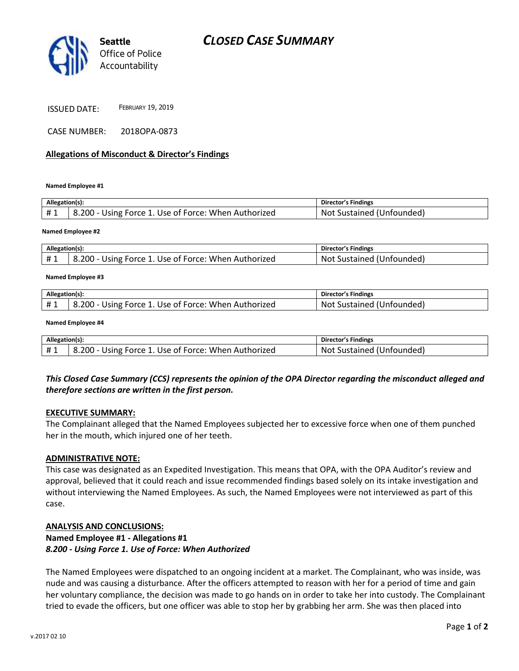

ISSUED DATE: <sup>F</sup>EBRUARY 19, <sup>2019</sup>

CASE NUMBER: 2018OPA-0873

### **Allegations of Misconduct & Director's Findings**

**Named Employee #1**

| Allegation(s): |                                                      | Director's Findings       |
|----------------|------------------------------------------------------|---------------------------|
| #1             | 8.200 - Using Force 1. Use of Force: When Authorized | Not Sustained (Unfounded) |
|                |                                                      |                           |

#### **Named Employee #2**

| Allegation(s): |                                                      | <b>Director's Findings</b>      |
|----------------|------------------------------------------------------|---------------------------------|
|                | 8.200 - Using Force 1. Use of Force: When Authorized | Not<br>: Sustained (Unfounded). |

#### **Named Employee #3**

| Allegation(s): |                                                      | <b>Director's Findings</b>     |
|----------------|------------------------------------------------------|--------------------------------|
| # 1            | 8.200 - Using Force 1. Use of Force: When Authorized | Not<br>' Sustained (Unfounded) |

#### **Named Employee #4**

| Allegation(s):<br>Director's Findings |                                                      |                           |  |  |
|---------------------------------------|------------------------------------------------------|---------------------------|--|--|
|                                       |                                                      |                           |  |  |
|                                       | 8.200 - Using Force 1. Use of Force: When Authorized | Not Sustained (Unfounded) |  |  |

## *This Closed Case Summary (CCS) represents the opinion of the OPA Director regarding the misconduct alleged and therefore sections are written in the first person.*

#### **EXECUTIVE SUMMARY:**

The Complainant alleged that the Named Employees subjected her to excessive force when one of them punched her in the mouth, which injured one of her teeth.

#### **ADMINISTRATIVE NOTE:**

This case was designated as an Expedited Investigation. This means that OPA, with the OPA Auditor's review and approval, believed that it could reach and issue recommended findings based solely on its intake investigation and without interviewing the Named Employees. As such, the Named Employees were not interviewed as part of this case.

#### **ANALYSIS AND CONCLUSIONS:**

# **Named Employee #1 - Allegations #1**

*8.200 - Using Force 1. Use of Force: When Authorized*

The Named Employees were dispatched to an ongoing incident at a market. The Complainant, who was inside, was nude and was causing a disturbance. After the officers attempted to reason with her for a period of time and gain her voluntary compliance, the decision was made to go hands on in order to take her into custody. The Complainant tried to evade the officers, but one officer was able to stop her by grabbing her arm. She was then placed into